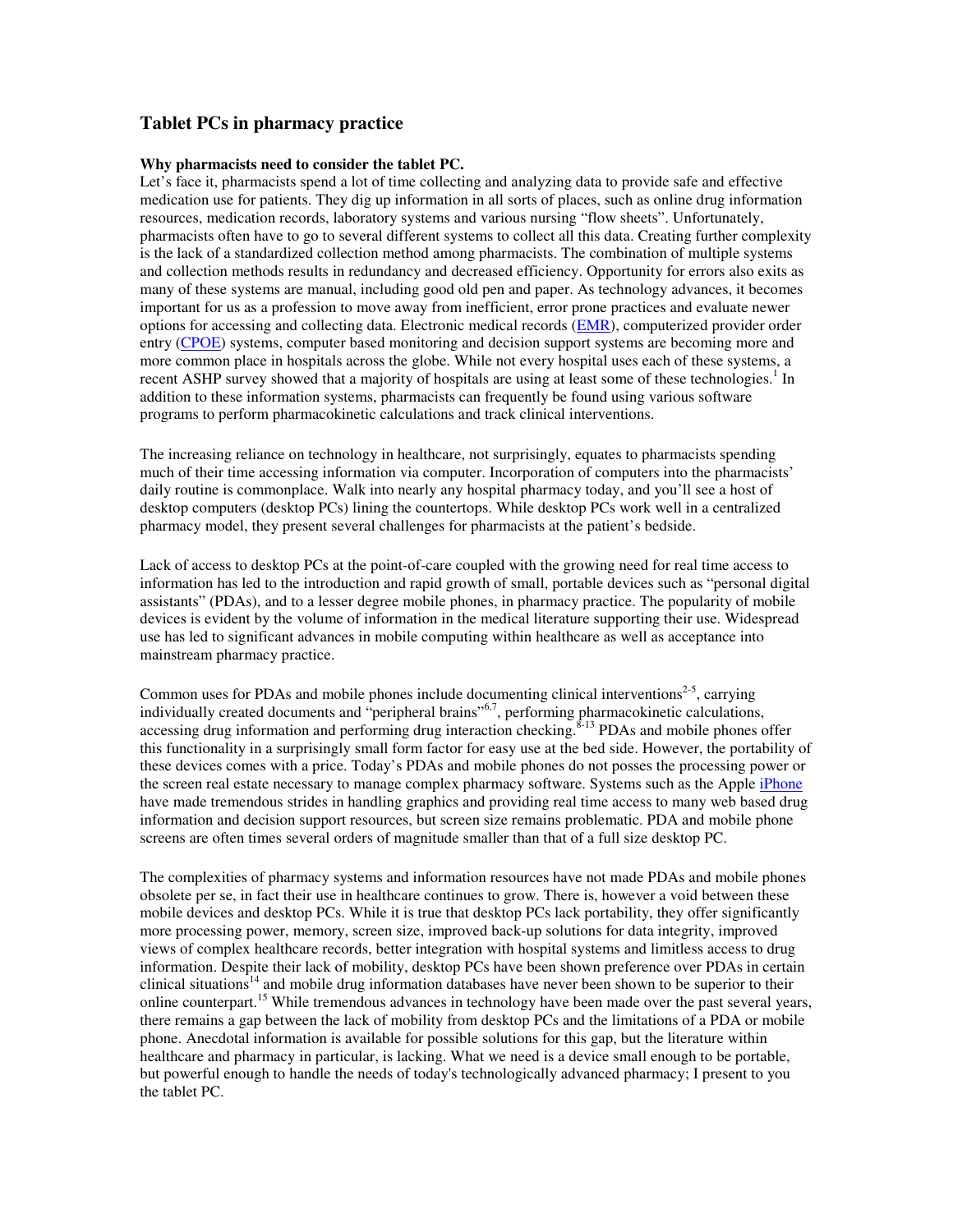# **Tablet PCs in pharmacy practice**

## **Why pharmacists need to consider the tablet PC.**

Let's face it, pharmacists spend a lot of time collecting and analyzing data to provide safe and effective medication use for patients. They dig up information in all sorts of places, such as online drug information resources, medication records, laboratory systems and various nursing "flow sheets". Unfortunately, pharmacists often have to go to several different systems to collect all this data. Creating further complexity is the lack of a standardized collection method among pharmacists. The combination of multiple systems and collection methods results in redundancy and decreased efficiency. Opportunity for errors also exits as many of these systems are manual, including good old pen and paper. As technology advances, it becomes important for us as a profession to move away from inefficient, error prone practices and evaluate newer options for accessing and collecting data. Electronic medical records (EMR), computerized provider order entry (CPOE) systems, computer based monitoring and decision support systems are becoming more and more common place in hospitals across the globe. While not every hospital uses each of these systems, a recent ASHP survey showed that a majority of hospitals are using at least some of these technologies.<sup>1</sup> In addition to these information systems, pharmacists can frequently be found using various software programs to perform pharmacokinetic calculations and track clinical interventions.

The increasing reliance on technology in healthcare, not surprisingly, equates to pharmacists spending much of their time accessing information via computer. Incorporation of computers into the pharmacists' daily routine is commonplace. Walk into nearly any hospital pharmacy today, and you'll see a host of desktop computers (desktop PCs) lining the countertops. While desktop PCs work well in a centralized pharmacy model, they present several challenges for pharmacists at the patient's bedside.

Lack of access to desktop PCs at the point-of-care coupled with the growing need for real time access to information has led to the introduction and rapid growth of small, portable devices such as "personal digital assistants" (PDAs), and to a lesser degree mobile phones, in pharmacy practice. The popularity of mobile devices is evident by the volume of information in the medical literature supporting their use. Widespread use has led to significant advances in mobile computing within healthcare as well as acceptance into mainstream pharmacy practice.

Common uses for PDAs and mobile phones include documenting clinical interventions<sup>2-5</sup>, carrying individually created documents and "peripheral brains"<sup>6,7</sup>, performing pharmacokinetic calculations, accessing drug information and performing drug interaction checking.<sup>8-13</sup> PDAs and mobile phones offer this functionality in a surprisingly small form factor for easy use at the bed side. However, the portability of these devices comes with a price. Today's PDAs and mobile phones do not posses the processing power or the screen real estate necessary to manage complex pharmacy software. Systems such as the Apple iPhone have made tremendous strides in handling graphics and providing real time access to many web based drug information and decision support resources, but screen size remains problematic. PDA and mobile phone screens are often times several orders of magnitude smaller than that of a full size desktop PC.

The complexities of pharmacy systems and information resources have not made PDAs and mobile phones obsolete per se, in fact their use in healthcare continues to grow. There is, however a void between these mobile devices and desktop PCs. While it is true that desktop PCs lack portability, they offer significantly more processing power, memory, screen size, improved back-up solutions for data integrity, improved views of complex healthcare records, better integration with hospital systems and limitless access to drug information. Despite their lack of mobility, desktop PCs have been shown preference over PDAs in certain clinical situations<sup>14</sup> and mobile drug information databases have never been shown to be superior to their online counterpart.<sup>15</sup> While tremendous advances in technology have been made over the past several years, there remains a gap between the lack of mobility from desktop PCs and the limitations of a PDA or mobile phone. Anecdotal information is available for possible solutions for this gap, but the literature within healthcare and pharmacy in particular, is lacking. What we need is a device small enough to be portable, but powerful enough to handle the needs of today's technologically advanced pharmacy; I present to you the tablet PC.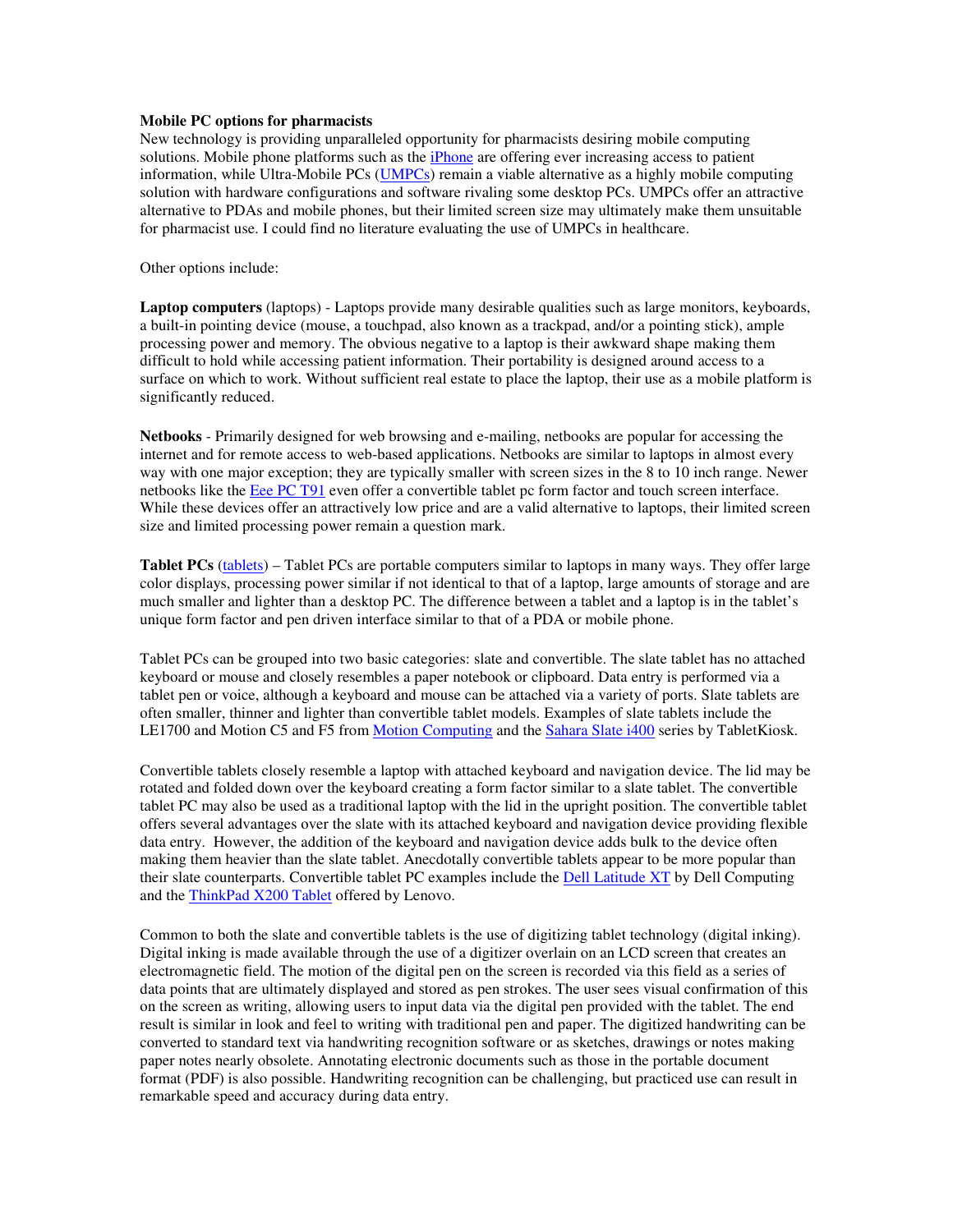## **Mobile PC options for pharmacists**

New technology is providing unparalleled opportunity for pharmacists desiring mobile computing solutions. Mobile phone platforms such as the iPhone are offering ever increasing access to patient information, while Ultra-Mobile PCs (UMPCs) remain a viable alternative as a highly mobile computing solution with hardware configurations and software rivaling some desktop PCs. UMPCs offer an attractive alternative to PDAs and mobile phones, but their limited screen size may ultimately make them unsuitable for pharmacist use. I could find no literature evaluating the use of UMPCs in healthcare.

Other options include:

**Laptop computers** (laptops) - Laptops provide many desirable qualities such as large monitors, keyboards, a built-in pointing device (mouse, a touchpad, also known as a trackpad, and/or a pointing stick), ample processing power and memory. The obvious negative to a laptop is their awkward shape making them difficult to hold while accessing patient information. Their portability is designed around access to a surface on which to work. Without sufficient real estate to place the laptop, their use as a mobile platform is significantly reduced.

**Netbooks** - Primarily designed for web browsing and e-mailing, netbooks are popular for accessing the internet and for remote access to web-based applications. Netbooks are similar to laptops in almost every way with one major exception; they are typically smaller with screen sizes in the 8 to 10 inch range. Newer netbooks like the Eee PC T91 even offer a convertible tablet pc form factor and touch screen interface. While these devices offer an attractively low price and are a valid alternative to laptops, their limited screen size and limited processing power remain a question mark.

**Tablet PCs** (tablets) – Tablet PCs are portable computers similar to laptops in many ways. They offer large color displays, processing power similar if not identical to that of a laptop, large amounts of storage and are much smaller and lighter than a desktop PC. The difference between a tablet and a laptop is in the tablet's unique form factor and pen driven interface similar to that of a PDA or mobile phone.

Tablet PCs can be grouped into two basic categories: slate and convertible. The slate tablet has no attached keyboard or mouse and closely resembles a paper notebook or clipboard. Data entry is performed via a tablet pen or voice, although a keyboard and mouse can be attached via a variety of ports. Slate tablets are often smaller, thinner and lighter than convertible tablet models. Examples of slate tablets include the LE1700 and Motion C5 and F5 from Motion Computing and the Sahara Slate i400 series by TabletKiosk.

Convertible tablets closely resemble a laptop with attached keyboard and navigation device. The lid may be rotated and folded down over the keyboard creating a form factor similar to a slate tablet. The convertible tablet PC may also be used as a traditional laptop with the lid in the upright position. The convertible tablet offers several advantages over the slate with its attached keyboard and navigation device providing flexible data entry. However, the addition of the keyboard and navigation device adds bulk to the device often making them heavier than the slate tablet. Anecdotally convertible tablets appear to be more popular than their slate counterparts. Convertible tablet PC examples include the Dell Latitude XT by Dell Computing and the ThinkPad X200 Tablet offered by Lenovo.

Common to both the slate and convertible tablets is the use of digitizing tablet technology (digital inking). Digital inking is made available through the use of a digitizer overlain on an LCD screen that creates an electromagnetic field. The motion of the digital pen on the screen is recorded via this field as a series of data points that are ultimately displayed and stored as pen strokes. The user sees visual confirmation of this on the screen as writing, allowing users to input data via the digital pen provided with the tablet. The end result is similar in look and feel to writing with traditional pen and paper. The digitized handwriting can be converted to standard text via handwriting recognition software or as sketches, drawings or notes making paper notes nearly obsolete. Annotating electronic documents such as those in the portable document format (PDF) is also possible. Handwriting recognition can be challenging, but practiced use can result in remarkable speed and accuracy during data entry.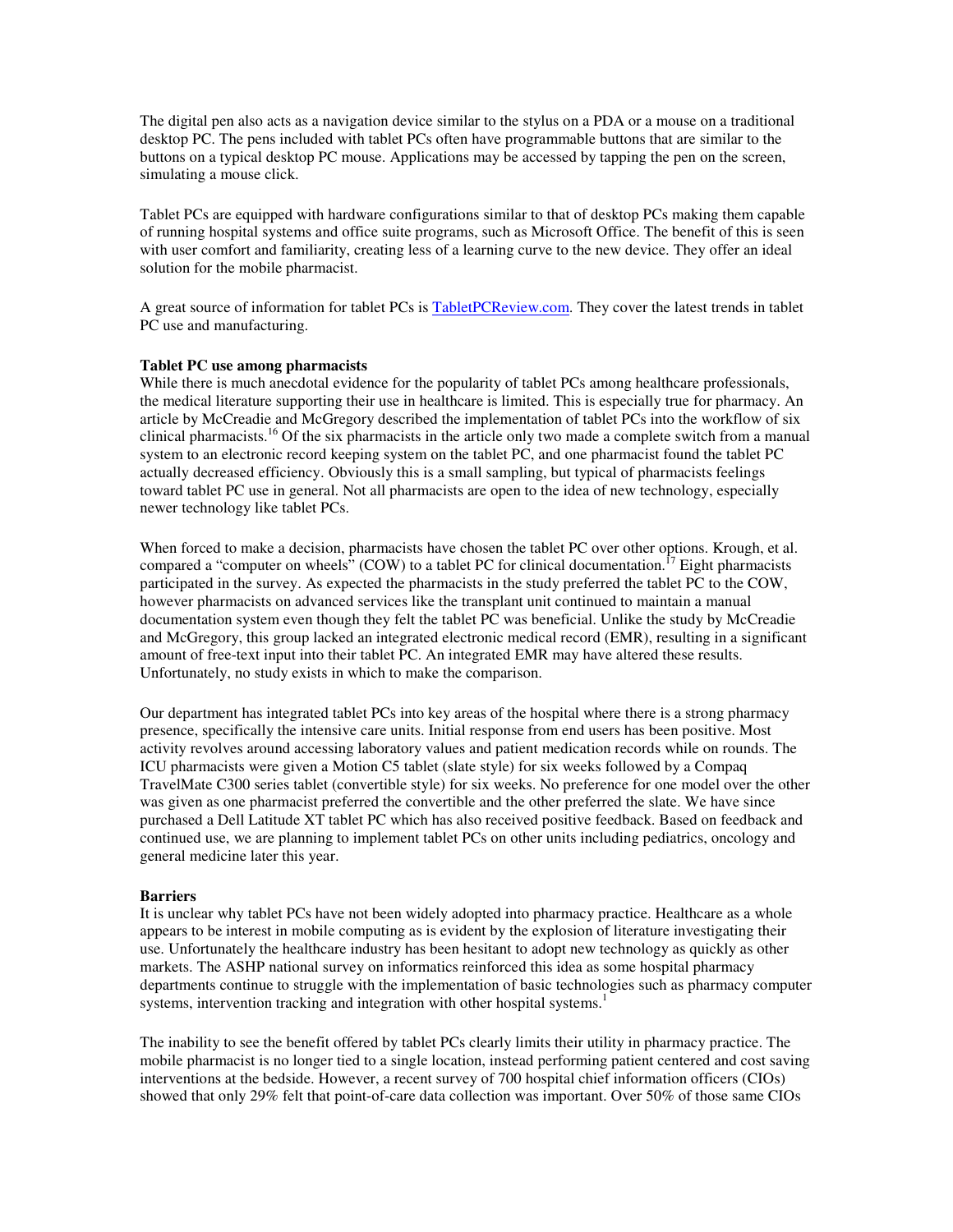The digital pen also acts as a navigation device similar to the stylus on a PDA or a mouse on a traditional desktop PC. The pens included with tablet PCs often have programmable buttons that are similar to the buttons on a typical desktop PC mouse. Applications may be accessed by tapping the pen on the screen, simulating a mouse click.

Tablet PCs are equipped with hardware configurations similar to that of desktop PCs making them capable of running hospital systems and office suite programs, such as Microsoft Office. The benefit of this is seen with user comfort and familiarity, creating less of a learning curve to the new device. They offer an ideal solution for the mobile pharmacist.

A great source of information for tablet PCs is TabletPCReview.com. They cover the latest trends in tablet PC use and manufacturing.

## **Tablet PC use among pharmacists**

While there is much anecdotal evidence for the popularity of tablet PCs among healthcare professionals, the medical literature supporting their use in healthcare is limited. This is especially true for pharmacy. An article by McCreadie and McGregory described the implementation of tablet PCs into the workflow of six clinical pharmacists.<sup>16</sup> Of the six pharmacists in the article only two made a complete switch from a manual system to an electronic record keeping system on the tablet PC, and one pharmacist found the tablet PC actually decreased efficiency. Obviously this is a small sampling, but typical of pharmacists feelings toward tablet PC use in general. Not all pharmacists are open to the idea of new technology, especially newer technology like tablet PCs.

When forced to make a decision, pharmacists have chosen the tablet PC over other options. Krough, et al. compared a "computer on wheels" (COW) to a tablet PC for clinical documentation.<sup>17</sup> Eight pharmacists participated in the survey. As expected the pharmacists in the study preferred the tablet PC to the COW, however pharmacists on advanced services like the transplant unit continued to maintain a manual documentation system even though they felt the tablet PC was beneficial. Unlike the study by McCreadie and McGregory, this group lacked an integrated electronic medical record (EMR), resulting in a significant amount of free-text input into their tablet PC. An integrated EMR may have altered these results. Unfortunately, no study exists in which to make the comparison.

Our department has integrated tablet PCs into key areas of the hospital where there is a strong pharmacy presence, specifically the intensive care units. Initial response from end users has been positive. Most activity revolves around accessing laboratory values and patient medication records while on rounds. The ICU pharmacists were given a Motion C5 tablet (slate style) for six weeks followed by a Compaq TravelMate C300 series tablet (convertible style) for six weeks. No preference for one model over the other was given as one pharmacist preferred the convertible and the other preferred the slate. We have since purchased a Dell Latitude XT tablet PC which has also received positive feedback. Based on feedback and continued use, we are planning to implement tablet PCs on other units including pediatrics, oncology and general medicine later this year.

### **Barriers**

It is unclear why tablet PCs have not been widely adopted into pharmacy practice. Healthcare as a whole appears to be interest in mobile computing as is evident by the explosion of literature investigating their use. Unfortunately the healthcare industry has been hesitant to adopt new technology as quickly as other markets. The ASHP national survey on informatics reinforced this idea as some hospital pharmacy departments continue to struggle with the implementation of basic technologies such as pharmacy computer systems, intervention tracking and integration with other hospital systems.<sup>1</sup>

The inability to see the benefit offered by tablet PCs clearly limits their utility in pharmacy practice. The mobile pharmacist is no longer tied to a single location, instead performing patient centered and cost saving interventions at the bedside. However, a recent survey of 700 hospital chief information officers (CIOs) showed that only 29% felt that point-of-care data collection was important. Over 50% of those same CIOs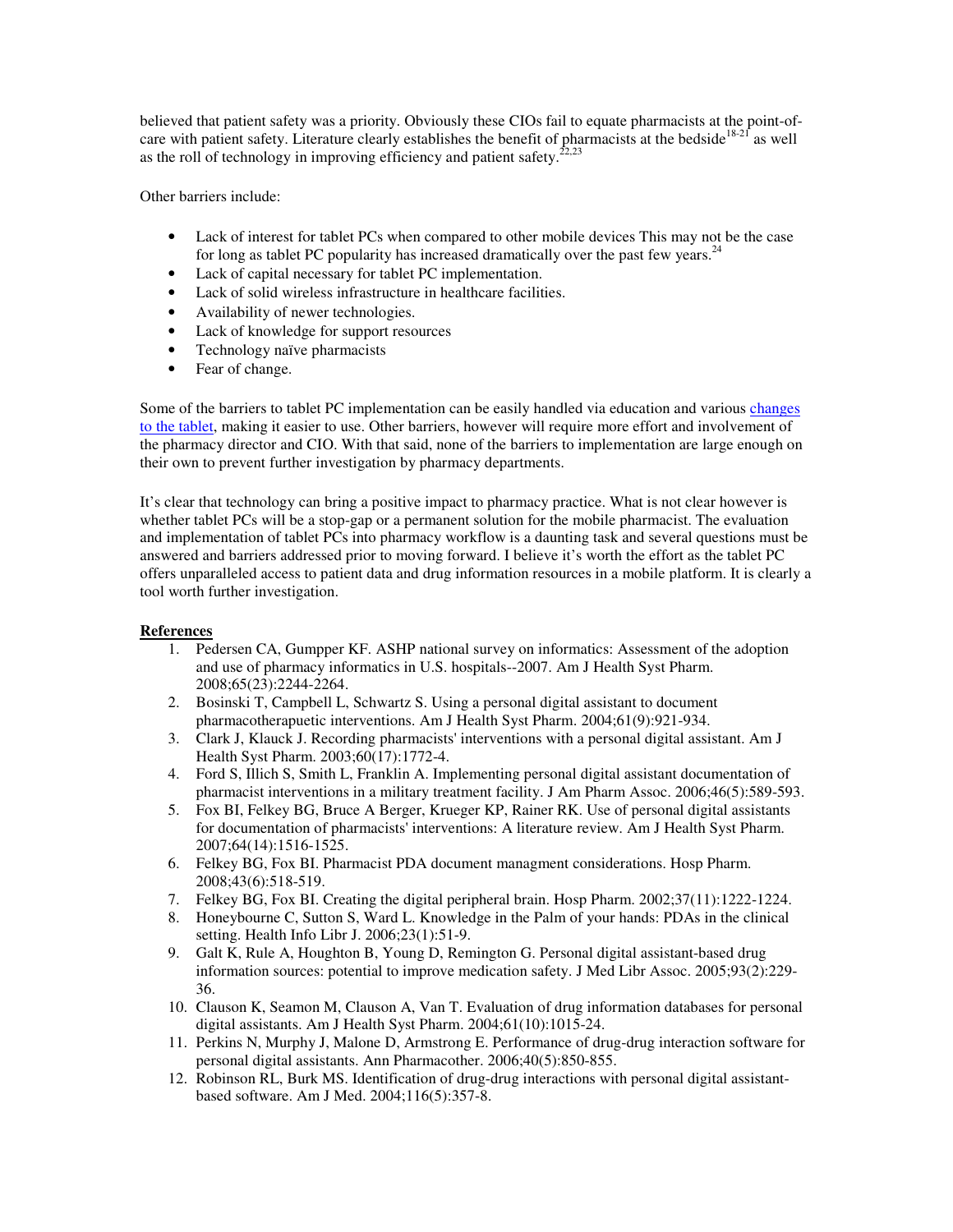believed that patient safety was a priority. Obviously these CIOs fail to equate pharmacists at the point-ofcare with patient safety. Literature clearly establishes the benefit of pharmacists at the bedside<sup>18-21</sup> as well as the roll of technology in improving efficiency and patient safety.<sup>22,23</sup>

Other barriers include:

- Lack of interest for tablet PCs when compared to other mobile devices This may not be the case for long as tablet PC popularity has increased dramatically over the past few years. $^{24}$
- Lack of capital necessary for tablet PC implementation.
- Lack of solid wireless infrastructure in healthcare facilities.
- Availability of newer technologies.
- Lack of knowledge for support resources
- Technology naïve pharmacists
- Fear of change.

Some of the barriers to tablet PC implementation can be easily handled via education and various changes to the tablet, making it easier to use. Other barriers, however will require more effort and involvement of the pharmacy director and CIO. With that said, none of the barriers to implementation are large enough on their own to prevent further investigation by pharmacy departments.

It's clear that technology can bring a positive impact to pharmacy practice. What is not clear however is whether tablet PCs will be a stop-gap or a permanent solution for the mobile pharmacist. The evaluation and implementation of tablet PCs into pharmacy workflow is a daunting task and several questions must be answered and barriers addressed prior to moving forward. I believe it's worth the effort as the tablet PC offers unparalleled access to patient data and drug information resources in a mobile platform. It is clearly a tool worth further investigation.

## **References**

- 1. Pedersen CA, Gumpper KF. ASHP national survey on informatics: Assessment of the adoption and use of pharmacy informatics in U.S. hospitals--2007. Am J Health Syst Pharm. 2008;65(23):2244-2264.
- 2. Bosinski T, Campbell L, Schwartz S. Using a personal digital assistant to document pharmacotherapuetic interventions. Am J Health Syst Pharm. 2004;61(9):921-934.
- 3. Clark J, Klauck J. Recording pharmacists' interventions with a personal digital assistant. Am J Health Syst Pharm. 2003;60(17):1772-4.
- 4. Ford S, Illich S, Smith L, Franklin A. Implementing personal digital assistant documentation of pharmacist interventions in a military treatment facility. J Am Pharm Assoc. 2006;46(5):589-593.
- 5. Fox BI, Felkey BG, Bruce A Berger, Krueger KP, Rainer RK. Use of personal digital assistants for documentation of pharmacists' interventions: A literature review. Am J Health Syst Pharm. 2007;64(14):1516-1525.
- 6. Felkey BG, Fox BI. Pharmacist PDA document managment considerations. Hosp Pharm. 2008;43(6):518-519.
- 7. Felkey BG, Fox BI. Creating the digital peripheral brain. Hosp Pharm. 2002;37(11):1222-1224.
- 8. Honeybourne C, Sutton S, Ward L. Knowledge in the Palm of your hands: PDAs in the clinical setting. Health Info Libr J. 2006;23(1):51-9.
- 9. Galt K, Rule A, Houghton B, Young D, Remington G. Personal digital assistant-based drug information sources: potential to improve medication safety. J Med Libr Assoc. 2005;93(2):229- 36.
- 10. Clauson K, Seamon M, Clauson A, Van T. Evaluation of drug information databases for personal digital assistants. Am J Health Syst Pharm. 2004;61(10):1015-24.
- 11. Perkins N, Murphy J, Malone D, Armstrong E. Performance of drug-drug interaction software for personal digital assistants. Ann Pharmacother. 2006;40(5):850-855.
- 12. Robinson RL, Burk MS. Identification of drug-drug interactions with personal digital assistantbased software. Am J Med. 2004;116(5):357-8.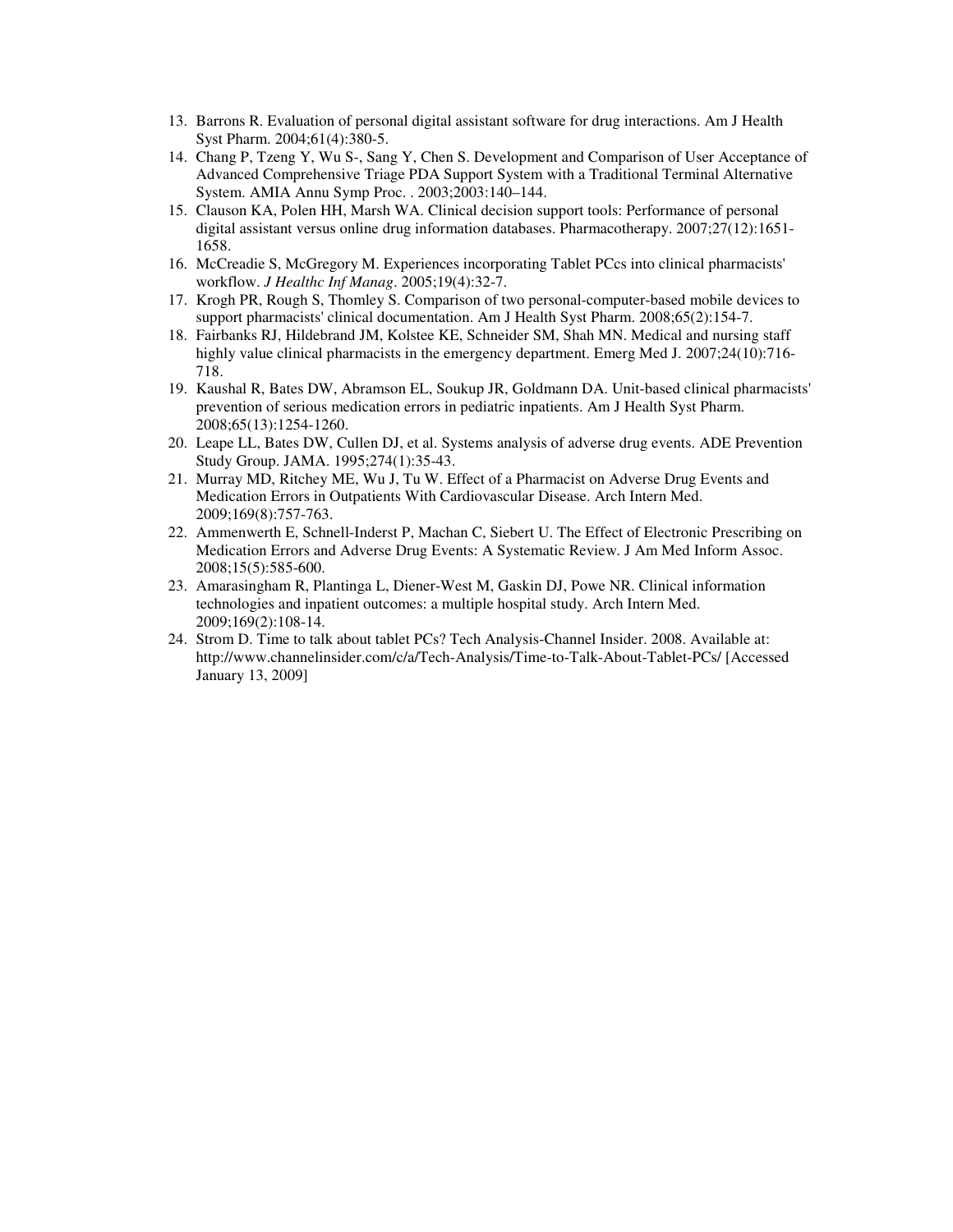- 13. Barrons R. Evaluation of personal digital assistant software for drug interactions. Am J Health Syst Pharm. 2004;61(4):380-5.
- 14. Chang P, Tzeng Y, Wu S-, Sang Y, Chen S. Development and Comparison of User Acceptance of Advanced Comprehensive Triage PDA Support System with a Traditional Terminal Alternative System. AMIA Annu Symp Proc. . 2003;2003:140–144.
- 15. Clauson KA, Polen HH, Marsh WA. Clinical decision support tools: Performance of personal digital assistant versus online drug information databases. Pharmacotherapy. 2007;27(12):1651- 1658.
- 16. McCreadie S, McGregory M. Experiences incorporating Tablet PCcs into clinical pharmacists' workflow. *J Healthc Inf Manag*. 2005;19(4):32-7.
- 17. Krogh PR, Rough S, Thomley S. Comparison of two personal-computer-based mobile devices to support pharmacists' clinical documentation. Am J Health Syst Pharm. 2008;65(2):154-7.
- 18. Fairbanks RJ, Hildebrand JM, Kolstee KE, Schneider SM, Shah MN. Medical and nursing staff highly value clinical pharmacists in the emergency department. Emerg Med J. 2007;24(10):716-718.
- 19. Kaushal R, Bates DW, Abramson EL, Soukup JR, Goldmann DA. Unit-based clinical pharmacists' prevention of serious medication errors in pediatric inpatients. Am J Health Syst Pharm. 2008;65(13):1254-1260.
- 20. Leape LL, Bates DW, Cullen DJ, et al. Systems analysis of adverse drug events. ADE Prevention Study Group. JAMA. 1995;274(1):35-43.
- 21. Murray MD, Ritchey ME, Wu J, Tu W. Effect of a Pharmacist on Adverse Drug Events and Medication Errors in Outpatients With Cardiovascular Disease. Arch Intern Med. 2009;169(8):757-763.
- 22. Ammenwerth E, Schnell-Inderst P, Machan C, Siebert U. The Effect of Electronic Prescribing on Medication Errors and Adverse Drug Events: A Systematic Review. J Am Med Inform Assoc. 2008;15(5):585-600.
- 23. Amarasingham R, Plantinga L, Diener-West M, Gaskin DJ, Powe NR. Clinical information technologies and inpatient outcomes: a multiple hospital study. Arch Intern Med. 2009;169(2):108-14.
- 24. Strom D. Time to talk about tablet PCs? Tech Analysis-Channel Insider. 2008. Available at: http://www.channelinsider.com/c/a/Tech-Analysis/Time-to-Talk-About-Tablet-PCs/ [Accessed January 13, 2009]